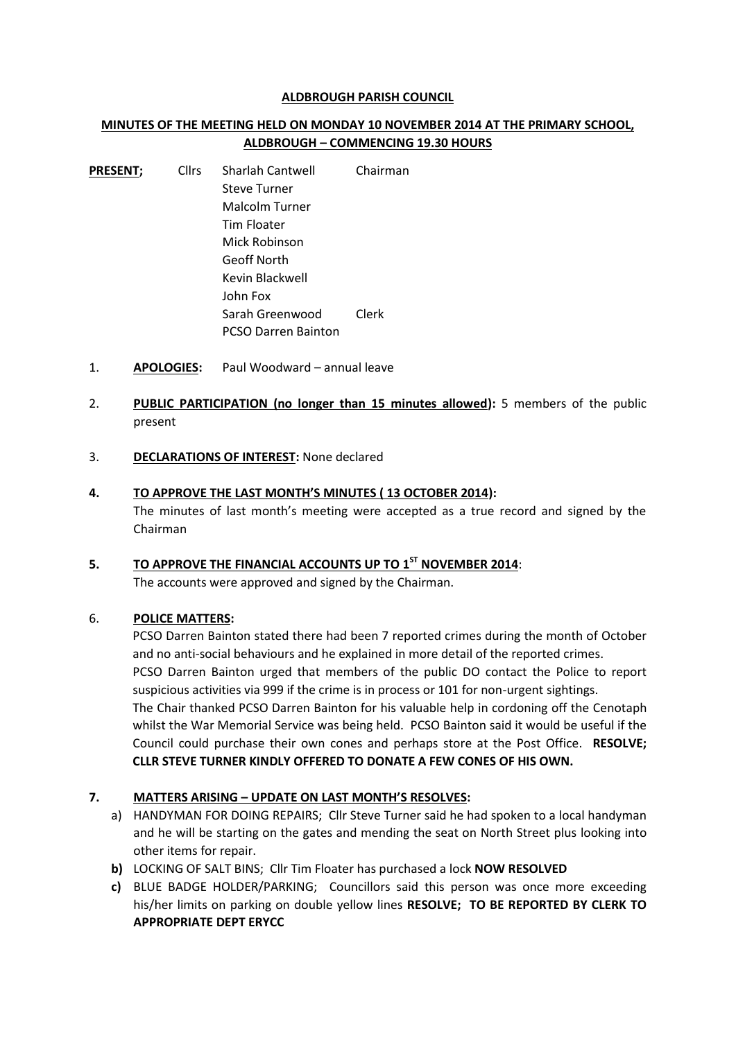#### **ALDBROUGH PARISH COUNCIL**

## **MINUTES OF THE MEETING HELD ON MONDAY 10 NOVEMBER 2014 AT THE PRIMARY SCHOOL, ALDBROUGH – COMMENCING 19.30 HOURS**

- **PRESENT;** Cllrs Sharlah Cantwell Chairman Steve Turner Malcolm Turner Tim Floater Mick Robinson Geoff North Kevin Blackwell John Fox Sarah Greenwood Clerk PCSO Darren Bainton
- 1. **APOLOGIES:** Paul Woodward annual leave
- 2. **PUBLIC PARTICIPATION (no longer than 15 minutes allowed):** 5 members of the public present
- 3. **DECLARATIONS OF INTEREST:** None declared

## **4. TO APPROVE THE LAST MONTH'S MINUTES ( 13 OCTOBER 2014):** The minutes of last month's meeting were accepted as a true record and signed by the

Chairman

# **5. TO APPROVE THE FINANCIAL ACCOUNTS UP TO 1 ST NOVEMBER 2014**:

The accounts were approved and signed by the Chairman.

## 6. **POLICE MATTERS:**

PCSO Darren Bainton stated there had been 7 reported crimes during the month of October and no anti-social behaviours and he explained in more detail of the reported crimes. PCSO Darren Bainton urged that members of the public DO contact the Police to report suspicious activities via 999 if the crime is in process or 101 for non-urgent sightings. The Chair thanked PCSO Darren Bainton for his valuable help in cordoning off the Cenotaph whilst the War Memorial Service was being held. PCSO Bainton said it would be useful if the Council could purchase their own cones and perhaps store at the Post Office. **RESOLVE; CLLR STEVE TURNER KINDLY OFFERED TO DONATE A FEW CONES OF HIS OWN.**

## **7. MATTERS ARISING – UPDATE ON LAST MONTH'S RESOLVES:**

- a) HANDYMAN FOR DOING REPAIRS; Cllr Steve Turner said he had spoken to a local handyman and he will be starting on the gates and mending the seat on North Street plus looking into other items for repair.
- **b)** LOCKING OF SALT BINS; Cllr Tim Floater has purchased a lock **NOW RESOLVED**
- **c)** BLUE BADGE HOLDER/PARKING; Councillors said this person was once more exceeding his/her limits on parking on double yellow lines **RESOLVE; TO BE REPORTED BY CLERK TO APPROPRIATE DEPT ERYCC**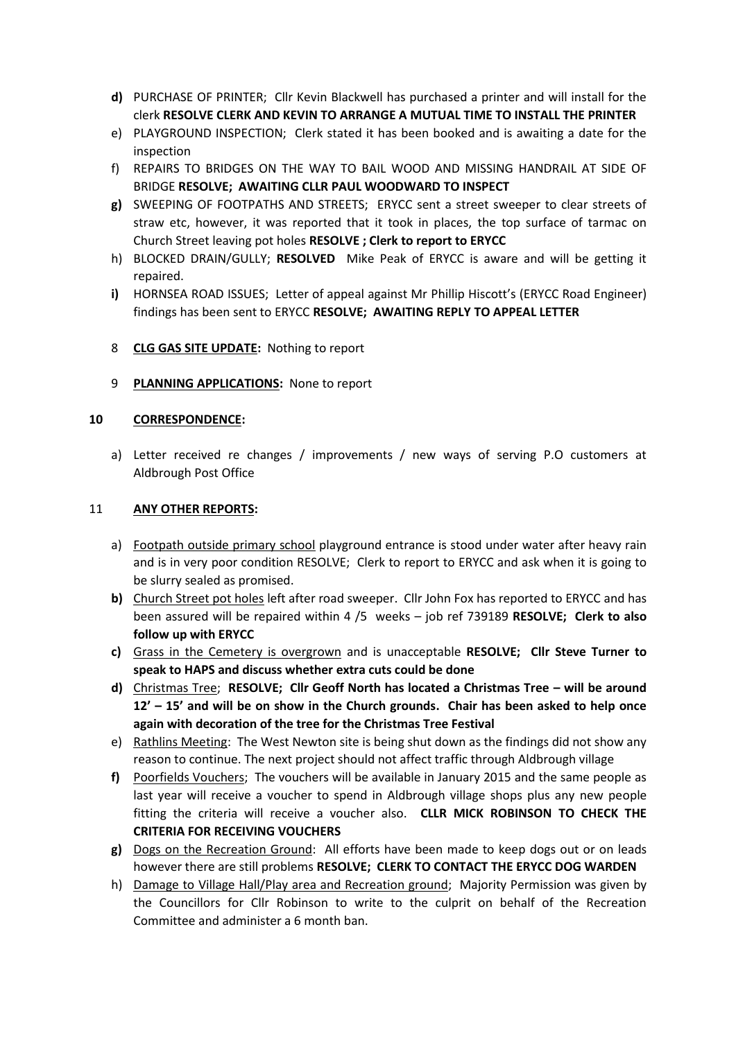- **d)** PURCHASE OF PRINTER; Cllr Kevin Blackwell has purchased a printer and will install for the clerk **RESOLVE CLERK AND KEVIN TO ARRANGE A MUTUAL TIME TO INSTALL THE PRINTER**
- e) PLAYGROUND INSPECTION; Clerk stated it has been booked and is awaiting a date for the inspection
- f) REPAIRS TO BRIDGES ON THE WAY TO BAIL WOOD AND MISSING HANDRAIL AT SIDE OF BRIDGE **RESOLVE; AWAITING CLLR PAUL WOODWARD TO INSPECT**
- **g)** SWEEPING OF FOOTPATHS AND STREETS; ERYCC sent a street sweeper to clear streets of straw etc, however, it was reported that it took in places, the top surface of tarmac on Church Street leaving pot holes **RESOLVE ; Clerk to report to ERYCC**
- h) BLOCKED DRAIN/GULLY; **RESOLVED** Mike Peak of ERYCC is aware and will be getting it repaired.
- **i)** HORNSEA ROAD ISSUES; Letter of appeal against Mr Phillip Hiscott's (ERYCC Road Engineer) findings has been sent to ERYCC **RESOLVE; AWAITING REPLY TO APPEAL LETTER**
- 8 **CLG GAS SITE UPDATE:** Nothing to report
- 9 **PLANNING APPLICATIONS:** None to report

#### **10 CORRESPONDENCE:**

a) Letter received re changes / improvements / new ways of serving P.O customers at Aldbrough Post Office

#### 11 **ANY OTHER REPORTS:**

- a) Footpath outside primary school playground entrance is stood under water after heavy rain and is in very poor condition RESOLVE; Clerk to report to ERYCC and ask when it is going to be slurry sealed as promised.
- **b)** Church Street pot holes left after road sweeper. Cllr John Fox has reported to ERYCC and has been assured will be repaired within 4 /5 weeks – job ref 739189 **RESOLVE; Clerk to also follow up with ERYCC**
- **c)** Grass in the Cemetery is overgrown and is unacceptable **RESOLVE; Cllr Steve Turner to speak to HAPS and discuss whether extra cuts could be done**
- **d)** Christmas Tree; **RESOLVE; Cllr Geoff North has located a Christmas Tree – will be around 12' – 15' and will be on show in the Church grounds. Chair has been asked to help once again with decoration of the tree for the Christmas Tree Festival**
- e) Rathlins Meeting: The West Newton site is being shut down as the findings did not show any reason to continue. The next project should not affect traffic through Aldbrough village
- **f)** Poorfields Vouchers; The vouchers will be available in January 2015 and the same people as last year will receive a voucher to spend in Aldbrough village shops plus any new people fitting the criteria will receive a voucher also. **CLLR MICK ROBINSON TO CHECK THE CRITERIA FOR RECEIVING VOUCHERS**
- **g)** Dogs on the Recreation Ground: All efforts have been made to keep dogs out or on leads however there are still problems **RESOLVE; CLERK TO CONTACT THE ERYCC DOG WARDEN**
- h) Damage to Village Hall/Play area and Recreation ground; Majority Permission was given by the Councillors for Cllr Robinson to write to the culprit on behalf of the Recreation Committee and administer a 6 month ban.